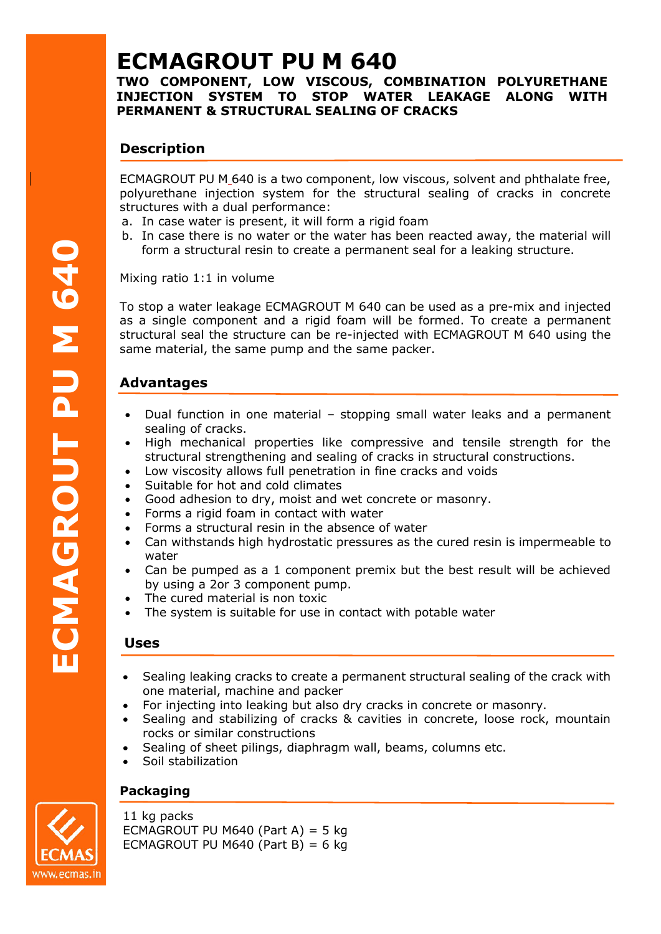**TWO COMPONENT, LOW VISCOUS, COMBINATION POLYURETHANE INJECTION SYSTEM TO STOP WATER LEAKAGE ALONG WITH PERMANENT & STRUCTURAL SEALING OF CRACKS**

# **Description**

ECMAGROUT PU M 640 is a two component, low viscous, solvent and phthalate free, polyurethane injection system for the structural sealing of cracks in concrete structures with a dual performance:

- a. In case water is present, it will form a rigid foam
- b. In case there is no water or the water has been reacted away, the material will form a structural resin to create a permanent seal for a leaking structure.

Mixing ratio 1:1 in volume

To stop a water leakage ECMAGROUT M 640 can be used as a pre-mix and injected as a single component and a rigid foam will be formed. To create a permanent structural seal the structure can be re-injected with ECMAGROUT M 640 using the same material, the same pump and the same packer.

# **Advantages**

- Dual function in one material stopping small water leaks and a permanent sealing of cracks.
- High mechanical properties like compressive and tensile strength for the structural strengthening and sealing of cracks in structural constructions.
- Low viscosity allows full penetration in fine cracks and voids
- Suitable for hot and cold climates
- Good adhesion to dry, moist and wet concrete or masonry.
- Forms a rigid foam in contact with water
- Forms a structural resin in the absence of water
- Can withstands high hydrostatic pressures as the cured resin is impermeable to water
- Can be pumped as a 1 component premix but the best result will be achieved by using a 2or 3 component pump.
- The cured material is non toxic
- The system is suitable for use in contact with potable water

## **Uses**

- Sealing leaking cracks to create a permanent structural sealing of the crack with one material, machine and packer
- For injecting into leaking but also dry cracks in concrete or masonry.
- Sealing and stabilizing of cracks & cavities in concrete, loose rock, mountain rocks or similar constructions
- Sealing of sheet pilings, diaphragm wall, beams, columns etc.
- Soil stabilization

## **Packaging**

11 kg packs ECMAGROUT PU M640 (Part A) = 5 kg ECMAGROUT PU M640 (Part B) =  $6$  kg

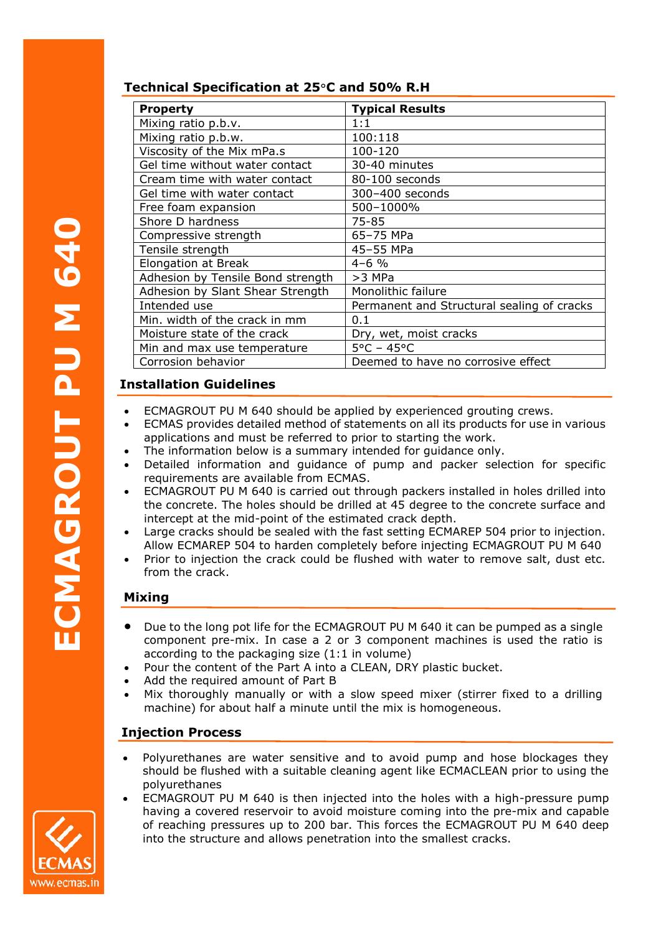## **Technical Specification at 25**°**C and 50% R.H**

| <b>Property</b>                   | <b>Typical Results</b>                     |
|-----------------------------------|--------------------------------------------|
| Mixing ratio p.b.v.               | 1:1                                        |
| Mixing ratio p.b.w.               | 100:118                                    |
| Viscosity of the Mix mPa.s        | 100-120                                    |
| Gel time without water contact    | 30-40 minutes                              |
| Cream time with water contact     | 80-100 seconds                             |
| Gel time with water contact       | 300-400 seconds                            |
| Free foam expansion               | 500-1000%                                  |
| Shore D hardness                  | 75-85                                      |
| Compressive strength              | 65-75 MPa                                  |
| Tensile strength                  | 45-55 MPa                                  |
| Elongation at Break               | $4 - 6$ %                                  |
| Adhesion by Tensile Bond strength | >3 MPa                                     |
| Adhesion by Slant Shear Strength  | Monolithic failure                         |
| Intended use                      | Permanent and Structural sealing of cracks |
| Min. width of the crack in mm     | 0.1                                        |
| Moisture state of the crack       | Dry, wet, moist cracks                     |
| Min and max use temperature       | $5^{\circ}$ C – 45 $^{\circ}$ C            |
| Corrosion behavior                | Deemed to have no corrosive effect         |

## **Installation Guidelines**

- ECMAGROUT PU M 640 should be applied by experienced grouting crews.
- ECMAS provides detailed method of statements on all its products for use in various applications and must be referred to prior to starting the work.
- The information below is a summary intended for guidance only.
- Detailed information and guidance of pump and packer selection for specific requirements are available from ECMAS.
- ECMAGROUT PU M 640 is carried out through packers installed in holes drilled into the concrete. The holes should be drilled at 45 degree to the concrete surface and intercept at the mid-point of the estimated crack depth. **PUFPURE**<br> **PUFPURE**<br> **PUFPURE** 
	- Large cracks should be sealed with the fast setting ECMAREP 504 prior to injection. Allow ECMAREP 504 to harden completely before injecting ECMAGROUT PU M 640
	- Prior to injection the crack could be flushed with water to remove salt, dust etc. from the crack.

## **Mixing**

- Due to the long pot life for the ECMAGROUT PU M 640 it can be pumped as a single component pre-mix. In case a 2 or 3 component machines is used the ratio is according to the packaging size (1:1 in volume)
- Pour the content of the Part A into a CLEAN, DRY plastic bucket.
- Add the required amount of Part B
- Mix thoroughly manually or with a slow speed mixer (stirrer fixed to a drilling machine) for about half a minute until the mix is homogeneous.

## **Injection Process**

- Polyurethanes are water sensitive and to avoid pump and hose blockages they should be flushed with a suitable cleaning agent like ECMACLEAN prior to using the polyurethanes
- ECMAGROUT PU M 640 is then injected into the holes with a high-pressure pump having a covered reservoir to avoid moisture coming into the pre-mix and capable of reaching pressures up to 200 bar. This forces the ECMAGROUT PU M 640 deep into the structure and allows penetration into the smallest cracks.